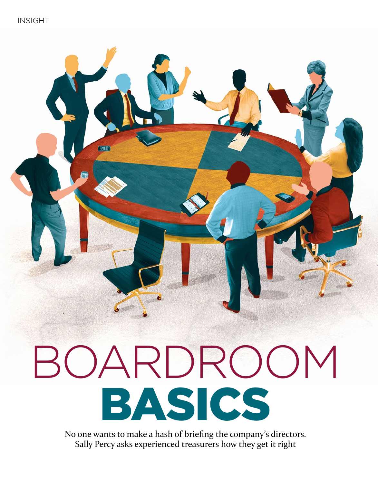

# BOARDROOM BASICS

No one wants to make a hash of briefing the company's directors. Sally Percy asks experienced treasurers how they get it right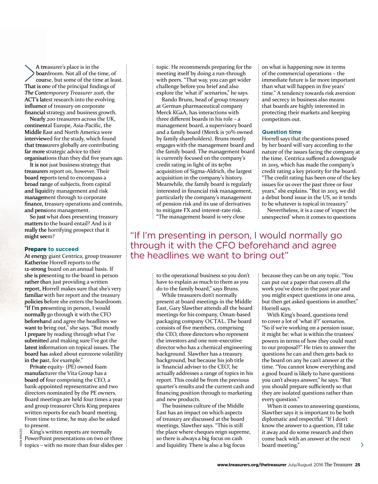A treasurer's place is in the boardroom. Not all of the time, of course, but some of the time at least. That is one of the principal findings of *The Contemporary Treasurer 2016*, the ACT's latest research into the evolving influence of treasury on corporate financial strategy and business growth.

Nearly 200 treasurers across the UK, continental Europe, Asia-Pacific, the Middle East and North America were interviewed for the study, which found that treasurers globally are contributing far more strategic advice to their organisations than they did five years ago.

It is not just business strategy that treasurers report on, however. Their board reports tend to encompass a broad range of subjects, from capital and liquidity management and risk management through to corporate finance, treasury operations and controls, and pensions management.

So just what does presenting treasury matters to the board entail? And is it really the horrifying prospect that it might seem?

### **Prepare to succeed**

At energy giant Centrica, group treasurer Katherine Horrell reports to the 12-strong board on an annual basis. If she is presenting to the board in person rather than just providing a written report, Horrell makes sure that she's very familiar with her report and the treasury policies before she enters the boardroom. "If I'm presenting in person, I would normally go through it with the CFO beforehand and agree the headlines we want to bring out," she says. "But mostly I prepare by reading through what I've submitted and making sure I've got the latest information on topical issues. The board has asked about eurozone volatility in the past, for example."

Private equity- (PE) owned foam manufacturer the Vita Group has a board of four comprising the CEO, a bank-appointed representative and two directors nominated by the PE owners. Board meetings are held four times a year and group treasurer Chris King prepares written reports for each board meeting. From time to time, he may also be asked to present.

King's written reports are normally **IKON IMAGES** PowerPoint presentations on two or three topics – with no more than four slides per

IKON IMAGES

topic. He recommends preparing for the meeting itself by doing a run-through with peers. "That way, you can get wider challenge before you brief and also explore the 'what if' scenarios," he says.

Rando Bruns, head of group treasury at German pharmaceutical company Merck KGaA, has interactions with three different boards in his role – a management board, a supervisory board and a family board (Merck is 70% owned by family shareholders). Bruns mostly engages with the management board and the family board. The management board is currently focused on the company's credit rating in light of its \$17bn acquisition of Sigma-Aldrich, the largest acquisition in the company's history. Meanwhile, the family board is regularly interested in financial risk management, particularly the company's management of pension risk and its use of derivatives to mitigate FX and interest-rate risk. "The management board is very close

on what is happening now in terms of the commercial operations – the immediate future is far more important than what will happen in five years' time." A tendency towards risk aversion and secrecy in business also means that boards are highly interested in protecting their markets and keeping competitors out.

### **Question time**

Horrell says that the questions posed by her board will vary according to the nature of the issues facing the company at the time. Centrica suffered a downgrade in 2015, which has made the company's credit rating a key priority for the board. "The credit rating has been one of the key issues for us over the past three or four years," she explains. "But in 2013, we did a debut bond issue in the US, so it tends to be whatever is topical in treasury."

Nevertheless, it is a case of 'expect the unexpected' when it comes to questions

# "If I'm presenting in person, I would normally go through it with the CFO beforehand and agree the headlines we want to bring out"

to the operational business so you don't have to explain as much to them as you do to the family board," says Bruns.

While treasurers don't normally present at board meetings in the Middle East, Gary Slawther attends all the board meetings for his company, Oman-based packaging company OCTAL. The board consists of five members, comprising the CEO, three directors who represent the investors and one non-executive director who has a chemical engineering background. Slawther has a treasury background, but because his job title is 'financial adviser to the CEO', he actually addresses a range of topics in his report. This could be from the previous quarter's results and the current cash and financing position through to marketing and new products.

The business culture of the Middle East has an impact on which aspects of treasury are discussed at the board meetings, Slawther says. "This is still the place where cheques reign supreme, so there is always a big focus on cash and liquidity. There is also a big focus

because they can be on any topic. "You can put out a paper that covers all the work you've done in the past year and you might expect questions in one area, but then get asked questions in another," Horrell says.

With King's board, questions tend to cover a lot of 'what if?' scenarios. "So if we're working on a pension issue, it might be: what is within the trustees' powers in terms of how they could react to our proposal?" He tries to answer the questions he can and then gets back to the board on any he can't answer at the time. "You cannot know everything and a good board is likely to have questions you can't always answer," he says. "But you should prepare sufficiently so that they are isolated questions rather than every question."

When it comes to answering questions, Slawther says it is important to be both diplomatic and respectful. "If I don't know the answer to a question, I'll take it away and do some research and then come back with an answer at the next board meeting."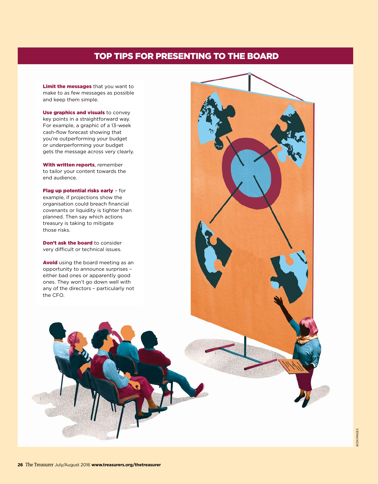# TOP TIPS FOR PRESENTING TO THE BOARD

Limit the messages that you want to make to as few messages as possible and keep them simple.

Use graphics and visuals to convey key points in a straightforward way. For example, a graphic of a 13-week cash-flow forecast showing that you're outperforming your budget or underperforming your budget gets the message across very clearly.

With written reports, remember to tailor your content towards the end audience.

Flag up potential risks early - for example, if projections show the organisation could breach financial covenants or liquidity is tighter than planned. Then say which actions treasury is taking to mitigate those risks.

Don't ask the board to consider very difficult or technical issues.

Avoid using the board meeting as an opportunity to announce surprises – either bad ones or apparently good ones. They won't go down well with any of the directors – particularly not the CFO.



KON IMAGES IKON IMAGES